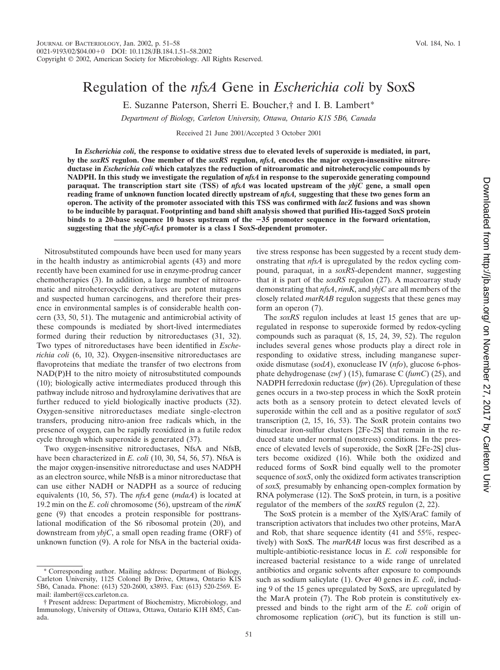# Regulation of the *nfsA* Gene in *Escherichia coli* by SoxS

E. Suzanne Paterson, Sherri E. Boucher,† and I. B. Lambert\*

*Department of Biology, Carleton University, Ottawa, Ontario K1S 5B6, Canada*

Received 21 June 2001/Accepted 3 October 2001

**In** *Escherichia coli,* **the response to oxidative stress due to elevated levels of superoxide is mediated, in part, by the** *soxRS* **regulon. One member of the** *soxRS* **regulon,** *nfsA,* **encodes the major oxygen-insensitive nitroreductase in** *Escherichia coli* **which catalyzes the reduction of nitroaromatic and nitroheterocyclic compounds by NADPH. In this study we investigate the regulation of** *nfsA* **in response to the superoxide generating compound paraquat. The transcription start site (TSS) of** *nfsA* **was located upstream of the** *ybjC* **gene, a small open reading frame of unknown function located directly upstream of** *nfsA,* **suggesting that these two genes form an operon. The activity of the promoter associated with this TSS was confirmed with** *lacZ* **fusions and was shown to be inducible by paraquat. Footprinting and band shift analysis showed that purified His-tagged SoxS protein binds to a 20-base sequence 10 bases upstream of the 35 promoter sequence in the forward orientation, suggesting that the** *ybjC-nfsA* **promoter is a class I SoxS-dependent promoter.**

Nitrosubstituted compounds have been used for many years in the health industry as antimicrobial agents (43) and more recently have been examined for use in enzyme-prodrug cancer chemotherapies (3). In addition, a large number of nitroaromatic and nitroheterocyclic derivatives are potent mutagens and suspected human carcinogens, and therefore their presence in environmental samples is of considerable health concern (33, 50, 51). The mutagenic and antimicrobial activity of these compounds is mediated by short-lived intermediates formed during their reduction by nitroreductases (31, 32). Two types of nitroreductases have been identified in *Escherichia coli* (6, 10, 32). Oxygen-insensitive nitroreductases are flavoproteins that mediate the transfer of two electrons from NAD(P)H to the nitro moiety of nitrosubstituted compounds (10); biologically active intermediates produced through this pathway include nitroso and hydroxylamine derivatives that are further reduced to yield biologically inactive products (32). Oxygen-sensitive nitroreductases mediate single-electron transfers, producing nitro-anion free radicals which, in the presence of oxygen, can be rapidly reoxidized in a futile redox cycle through which superoxide is generated (37).

Two oxygen-insensitive nitroreductases, NfsA and NfsB, have been characterized in *E. coli* (10, 30, 54, 56, 57). NfsA is the major oxygen-insensitive nitroreductase and uses NADPH as an electron source, while NfsB is a minor nitroreductase that can use either NADH or NADPH as a source of reducing equivalents (10, 56, 57). The *nfsA* gene (*mdaA*) is located at 19.2 min on the *E. coli* chromosome (56), upstream of the *rimK* gene (9) that encodes a protein responsible for posttranslational modification of the S6 ribosomal protein (20), and downstream from *ybjC*, a small open reading frame (ORF) of unknown function (9). A role for NfsA in the bacterial oxidative stress response has been suggested by a recent study demonstrating that *nfsA* is upregulated by the redox cycling compound, paraquat, in a *soxRS*-dependent manner, suggesting that it is part of the *soxRS* regulon (27). A macroarray study demonstrating that *nfsA*, *rimK*, and *ybjC* are all members of the closely related *marRAB* regulon suggests that these genes may form an operon (7).

The *soxRS* regulon includes at least 15 genes that are upregulated in response to superoxide formed by redox-cycling compounds such as paraquat (8, 15, 24, 39, 52). The regulon includes several genes whose products play a direct role in responding to oxidative stress, including manganese superoxide dismutase (*sodA*), exonuclease IV (*nfo*), glucose 6-phosphate dehydrogenase (*zwf* ) (15), fumarase C (*fumC*) (25), and NADPH ferredoxin reductase (*fpr*) (26). Upregulation of these genes occurs in a two-step process in which the SoxR protein acts both as a sensory protein to detect elevated levels of superoxide within the cell and as a positive regulator of *soxS* transcription (2, 15, 16, 53). The SoxR protein contains two binuclear iron-sulfur clusters [2Fe-2S] that remain in the reduced state under normal (nonstress) conditions. In the presence of elevated levels of superoxide, the SoxR [2Fe-2S] clusters become oxidized (16). While both the oxidized and reduced forms of SoxR bind equally well to the promoter sequence of *soxS*, only the oxidized form activates transcription of *soxS,* presumably by enhancing open-complex formation by RNA polymerase (12). The SoxS protein, in turn, is a positive regulator of the members of the *soxRS* regulon (2, 22).

The SoxS protein is a member of the XylS/AraC family of transcription activators that includes two other proteins, MarA and Rob, that share sequence identity (41 and 55%, respectively) with SoxS. The *marRAB* locus was first described as a multiple-antibiotic-resistance locus in *E. coli* responsible for increased bacterial resistance to a wide range of unrelated antibiotics and organic solvents after exposure to compounds such as sodium salicylate (1). Over 40 genes in *E. coli*, including 9 of the 15 genes upregulated by SoxS, are upregulated by the MarA protein (7). The Rob protein is constitutively expressed and binds to the right arm of the *E. coli* origin of chromosome replication (*oriC*), but its function is still un-

<sup>\*</sup> Corresponding author. Mailing address: Department of Biology, Carleton University, 1125 Colonel By Drive, Ottawa, Ontario K1S 5B6, Canada. Phone: (613) 520-2600, x3893. Fax: (613) 520-2569. Email: ilambert@ccs.carleton.ca.

<sup>†</sup> Present address: Department of Biochemistry, Microbiology, and Immunology, University of Ottawa, Ottawa, Ontario K1H 8M5, Canada.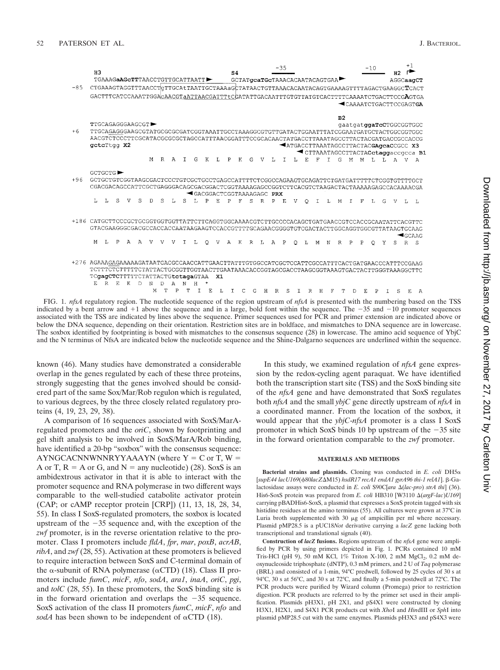|                                                                                                 |                                                                                                                        |    |    |   |    |   |    |   |    |   |    |                               |   |                |   |              |    | $-35$                                |              |          |   |    |    |    |                                   | $-10$                                                                                      |    |    | $+1$  |               |
|-------------------------------------------------------------------------------------------------|------------------------------------------------------------------------------------------------------------------------|----|----|---|----|---|----|---|----|---|----|-------------------------------|---|----------------|---|--------------|----|--------------------------------------|--------------|----------|---|----|----|----|-----------------------------------|--------------------------------------------------------------------------------------------|----|----|-------|---------------|
|                                                                                                 | H3                                                                                                                     |    |    |   |    |   |    |   |    |   |    |                               |   | S <sub>4</sub> |   |              |    |                                      |              |          |   |    |    |    |                                   |                                                                                            |    | Н2 |       |               |
|                                                                                                 | TGAAAGaAGcTTTAACCTGTTGCATTAATT                                                                                         |    |    |   |    |   |    |   |    |   |    | GCTATqcaTGcTAAACACAATACAGTGAA |   |                |   |              |    |                                      |              |          |   |    |    |    | AGGCaagCT                         |                                                                                            |    |    |       |               |
| $-85$                                                                                           |                                                                                                                        |    |    |   |    |   |    |   |    |   |    |                               |   |                |   |              |    |                                      |              |          |   |    |    |    |                                   | CTGAAAGTAGGTTTAACCTgTTGCAtTAATTGCTAAAaGCTATAACTGTTAAACACAATACAGTGAAAAGTTTTAGACTGAAGGCTCACT |    |    |       |               |
|                                                                                                 |                                                                                                                        |    |    |   |    |   |    |   |    |   |    |                               |   |                |   |              |    |                                      |              |          |   |    |    |    |                                   | GACTTTCATCCAAATTGGACAACGTaATTAACGATTTtCGATATTGACAATTTGTGTTATGTCACTTTTCAAAATCTGACTTCCGAGTGA |    |    |       |               |
|                                                                                                 |                                                                                                                        |    |    |   |    |   |    |   |    |   |    |                               |   |                |   |              |    |                                      |              |          |   |    |    |    |                                   | CAAAATCTGACTTCCGAGTGA                                                                      |    |    |       |               |
|                                                                                                 |                                                                                                                        |    |    |   |    |   |    |   |    |   |    |                               |   |                |   |              |    |                                      |              |          |   |    |    |    |                                   |                                                                                            |    |    |       |               |
|                                                                                                 |                                                                                                                        |    |    |   |    |   |    |   |    |   |    |                               |   |                |   |              |    |                                      |              |          |   |    | B2 |    |                                   |                                                                                            |    |    |       |               |
|                                                                                                 | TTGCAGAGGGAAGCGT                                                                                                       |    |    |   |    |   |    |   |    |   |    |                               |   |                |   |              |    |                                      |              |          |   |    |    |    |                                   | gaatgatggaTcCTGGCGGTGGC                                                                    |    |    |       |               |
| $+6$                                                                                            |                                                                                                                        |    |    |   |    |   |    |   |    |   |    |                               |   |                |   |              |    |                                      |              |          |   |    |    |    |                                   | TTGCAGAGGGAAGCGTATGCGCGCGATCGGTAAATTGCCTAAAGGCGTGTTGATACTGGAATTTATCGGAATGATGCTACTGGCGGTGGC |    |    |       |               |
|                                                                                                 | AACGTCTCCCTTCGCATACGCGCGCTAGCCATTTAACGGATTTCCGCACAACTATGACCTTAAATAGCCTTACTACGATGACGCACCG                               |    |    |   |    |   |    |   |    |   |    |                               |   |                |   |              |    |                                      |              |          |   |    |    |    |                                   |                                                                                            |    |    |       |               |
|                                                                                                 | qctcTtgg X2                                                                                                            |    |    |   |    |   |    |   |    |   |    |                               |   |                |   |              |    | ATGACCTTAAATAGCCTTACTACGAgcaCCGCC X3 |              |          |   |    |    |    | CTTAAATAGCCTTACTACctaggaccqcca B1 |                                                                                            |    |    |       |               |
|                                                                                                 |                                                                                                                        |    |    |   |    |   | R. |   |    |   |    |                               |   |                |   |              |    |                                      |              |          |   |    |    |    |                                   |                                                                                            |    |    |       |               |
|                                                                                                 |                                                                                                                        |    |    |   |    | M |    | A | T. | G | к  | T.                            | P | $_{\rm K}$     | G | v            | т. |                                      | т.           | F.       |   |    | G  | M  | M                                 | т.                                                                                         | т. | A  |       | А             |
|                                                                                                 | GCTGCTG <sup>&gt;</sup>                                                                                                |    |    |   |    |   |    |   |    |   |    |                               |   |                |   |              |    |                                      |              |          |   |    |    |    |                                   |                                                                                            |    |    |       |               |
| $+96$                                                                                           | GCTGCTGTCGGTAAGCGACTCCCTGTCGCTGCCTGAGCCATTTTCTCGGCCAGAAGTGCAGATTCTGATGATTTTTCTCGGTGTTTTGCT                             |    |    |   |    |   |    |   |    |   |    |                               |   |                |   |              |    |                                      |              |          |   |    |    |    |                                   |                                                                                            |    |    |       |               |
|                                                                                                 |                                                                                                                        |    |    |   |    |   |    |   |    |   |    |                               |   |                |   |              |    |                                      |              |          |   |    |    |    |                                   |                                                                                            |    |    |       |               |
|                                                                                                 | CGACGACAGCCATTCGCTGAGGGACAGCGACGGACTCGGTAAAAGAGCCGGTCTTCACGTCTAAGACTACTAAAAAGAGCCACAAAACGA<br>GACGGACTCGGTAAAAGAGC PRX |    |    |   |    |   |    |   |    |   |    |                               |   |                |   |              |    |                                      |              |          |   |    |    |    |                                   |                                                                                            |    |    |       |               |
|                                                                                                 | т.                                                                                                                     |    | S  | v | S  | D | S  |   |    |   | Þ  | F.                            | D |                | S | $\mathbb{R}$ | P  | Е.                                   | $\mathbf{V}$ | $\Omega$ |   | Т. | М  | T. | F                                 | T.                                                                                         | G  | ٩Z |       | П.            |
|                                                                                                 |                                                                                                                        |    |    |   |    |   |    |   |    |   |    |                               |   |                |   |              |    |                                      |              |          |   |    |    |    |                                   |                                                                                            |    |    |       |               |
|                                                                                                 |                                                                                                                        |    |    |   |    |   |    |   |    |   |    |                               |   |                |   |              |    |                                      |              |          |   |    |    |    |                                   |                                                                                            |    |    |       |               |
| $+186$                                                                                          | CATGCTTCCCGCTGCGGTGGTGGTTATTCTTCAGGTGGCAAAACGTCTTGCCCCACAGCTGATGAACCGTCCACCGCAATATTCACGTTC                             |    |    |   |    |   |    |   |    |   |    |                               |   |                |   |              |    |                                      |              |          |   |    |    |    |                                   |                                                                                            |    |    |       |               |
|                                                                                                 |                                                                                                                        |    |    |   |    |   |    |   |    |   |    |                               |   |                |   |              |    |                                      |              |          |   |    |    |    |                                   | GTACGAAGGGCGACCCACCACCAATAAGAAGTCCACCGTTTTGCAGAACGGGGTGTCGACTACTTGGCAGGTGGCGTTATAAGTGCAAG  |    |    |       |               |
|                                                                                                 | м                                                                                                                      | т. |    |   |    |   |    |   |    |   |    |                               | Δ | K              | R | т.           | А  |                                      |              |          |   |    |    |    |                                   |                                                                                            |    |    |       | <b>AGCAAG</b> |
|                                                                                                 |                                                                                                                        |    |    |   |    |   |    |   |    |   |    |                               |   |                |   |              |    |                                      | ∩            |          |   |    |    |    | P                                 | ∩                                                                                          |    |    | $R-S$ |               |
|                                                                                                 |                                                                                                                        |    |    |   |    |   |    |   |    |   |    |                               |   |                |   |              |    |                                      |              |          |   |    |    |    |                                   |                                                                                            |    |    |       |               |
| +276 AGAAAGAGAAAAAGATAATGACGCCAACCATTGAACTTATTTGTGGCCATCGCTCCATTCGCCATTTCACTGATGAACCCATTTCCGAAG |                                                                                                                        |    |    |   |    |   |    |   |    |   |    |                               |   |                |   |              |    |                                      |              |          |   |    |    |    |                                   |                                                                                            |    |    |       |               |
|                                                                                                 | TCTTTCTCTTTTCTATTACTGCGGTTGGTAACTTGAATAAACACCGGTAGCGACCTAAGCGGTAAAGTGACTACTTGGGTAAAGGCTTC                              |    |    |   |    |   |    |   |    |   |    |                               |   |                |   |              |    |                                      |              |          |   |    |    |    |                                   |                                                                                            |    |    |       |               |
|                                                                                                 | TCgagCTCTTTTTCTATTACTGtctagaGTAA                                                                                       |    |    |   |    |   |    |   |    |   |    | X1                            |   |                |   |              |    |                                      |              |          |   |    |    |    |                                   |                                                                                            |    |    |       |               |
|                                                                                                 | F.                                                                                                                     | R  | Е. | к | D. | N | D  | А | N  | н |    |                               |   |                |   |              |    |                                      |              |          |   |    |    |    |                                   |                                                                                            |    |    |       |               |
|                                                                                                 |                                                                                                                        |    |    |   |    | M |    | Þ |    |   | F. |                               |   |                |   | G<br>н       |    | R                                    | S            |          | R | H  | Т  | D  |                                   | E.                                                                                         |    | S  | F.    | A             |

FIG. 1. *nfsA* regulatory region. The nucleotide sequence of the region upstream of *nfsA* is presented with the numbering based on the TSS indicated by a bent arrow and  $+1$  above the sequence and in a large, bold font within the sequence. The  $-35$  and  $-10$  promoter sequences associated with the TSS are indicated by lines above the sequence. Primer sequences used for PCR and primer extension are indicated above or below the DNA sequence, depending on their orientation. Restriction sites are in boldface, and mismatches to DNA sequence are in lowercase. The soxbox identified by footprinting is boxed with mismatches to the consensus sequence (28) in lowercase. The amino acid sequence of YbjC and the N terminus of NfsA are indicated below the nucleotide sequence and the Shine-Dalgarno sequences are underlined within the sequence.

known (46). Many studies have demonstrated a considerable overlap in the genes regulated by each of these three proteins, strongly suggesting that the genes involved should be considered part of the same Sox/Mar/Rob regulon which is regulated, to various degrees, by the three closely related regulatory proteins (4, 19, 23, 29, 38).

A comparison of 16 sequences associated with SoxS/MarAregulated promoters and the *oriC*, shown by footprinting and gel shift analysis to be involved in SoxS/MarA/Rob binding, have identified a 20-bp "soxbox" with the consensus sequence:  $AYNGCACNNWNNRYYAAAYN$  (where  $Y = C$  or T,  $W =$ A or T,  $R = A$  or G, and  $N =$  any nucleotide) (28). SoxS is an ambidextrous activator in that it is able to interact with the promoter sequence and RNA polymerase in two different ways comparable to the well-studied catabolite activator protein (CAP; or cAMP receptor protein [CRP]) (11, 13, 18, 28, 34, 55). In class I SoxS-regulated promoters, the soxbox is located upstream of the  $-35$  sequence and, with the exception of the *zwf* promoter, is in the reverse orientation relative to the promoter. Class I promoters include *fldA*, *fpr*, *mar*, *poxB*, *acrAB*, *ribA*, and *zwf* (28, 55). Activation at these promoters is believed to require interaction between SoxS and C-terminal domain of the  $\alpha$ -subunit of RNA polymerase ( $\alpha$ CTD) (18). Class II promoters include *fumC*, *micF*, *nfo*, *sodA*, *ara1*, *inaA*, *oriC*, *pgi*, and *tolC* (28, 55). In these promoters, the SoxS binding site is in the forward orientation and overlaps the  $-35$  sequence. SoxS activation of the class II promoters *fumC*, *micF*, *nfo* and *sodA* has been shown to be independent of  $\alpha$ CTD (18).

In this study, we examined regulation of *nfsA* gene expression by the redox-cycling agent paraquat. We have identified both the transcription start site (TSS) and the SoxS binding site of the *nfsA* gene and have demonstrated that SoxS regulates both *nfsA* and the small *ybjC* gene directly upstream of *nfsA* in a coordinated manner. From the location of the soxbox, it would appear that the *ybjC*-*nfsA* promoter is a class I SoxS promoter in which SoxS binds 10 bp upstream of the  $-35$  site in the forward orientation comparable to the *zwf* promoter.

#### **MATERIALS AND METHODS**

**Bacterial strains and plasmids.** Cloning was conducted in  $E$ . coli DH5 $\alpha$ [supE44 lacU169(φ80lacZΔM15) hsdR17 recA1 endA1 gyrA96 thi-1 relA1]. β-Galactosidase assays were conducted in *E. coli* S90C[*ara*  $\Delta (lac-pro)$  *strA thi*] (36). His6-SoxS protein was prepared from *E. coli* HB310 [W3110  $\Delta (argF-lac)U169$ ] carrying pBADHis6-SoxS, a plasmid that expresses a SoxS protein tagged with six histidine residues at the amino terminus (55). All cultures were grown at 37°C in Luria broth supplemented with  $30 \mu$ g of ampicillin per ml where necessary. Plasmid pMP28.5 is a pUC18*Not* derivative carrying a *lacZ* gene lacking both transcriptional and translational signals (40).

**Construction of** *lacZ* **fusions.** Regions upstream of the *nfsA* gene were amplified by PCR by using primers depicted in Fig. 1. PCRs contained 10 mM Tris-HCl (pH 9), 50 mM KCl,  $1\%$  Triton X-100, 2 mM MgCl<sub>2</sub>, 0.2 mM deoxynucleoside triphosphate (dNTP), 0.3 mM primers, and 2 U of *Taq* polymerase (BRL) and consisted of a 1-min, 94°C predwell, followed by 25 cycles of 30 s at 94°C, 30 s at 56°C, and 30 s at 72°C, and finally a 5-min postdwell at 72°C. The PCR products were purified by Wizard column (Promega) prior to restriction digestion. PCR products are referred to by the primer set used in their amplification. Plasmids pH3X1, pH 2X1, and pS4X1 were constructed by cloning H3X1, H2X1, and S4X1 PCR products cut with *Xho*I and *Hin*dIII or *Sph*I into plasmid pMP28.5 cut with the same enzymes. Plasmids pH3X3 and pS4X3 were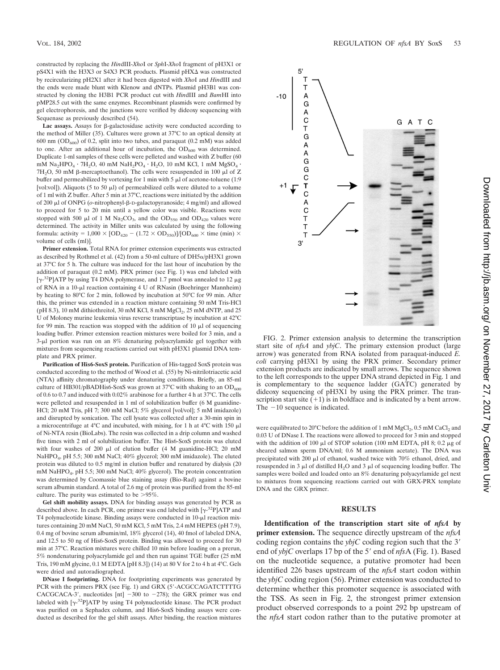constructed by replacing the *Hin*dIII-*Xho*I or *Sph*I-*Xho*I fragment of pH3X1 or  $pS4X1$  with the H3X3 or S4X3 PCR products. Plasmid  $pHX\Delta$  was constructed by recircularizing pH2X1 after it had been digested with *Xho*I and *Hin*dIII and the ends were made blunt with Klenow and dNTPs. Plasmid pH3B1 was constructed by cloning the H3B1 PCR product cut with *Hin*dIII and *Bam*HI into pMP28.5 cut with the same enzymes. Recombinant plasmids were confirmed by gel electrophoresis, and the junctions were verified by dideoxy sequencing with Sequenase as previously described (54).

Lac assays. Assays for  $\beta$ -galactosidase activity were conducted according to the method of Miller (35). Cultures were grown at 37°C to an optical density at 600 nm ( $OD<sub>600</sub>$ ) of 0.2, split into two tubes, and paraquat (0.2 mM) was added to one. After an additional hour of incubation, the  $OD_{600}$  was determined. Duplicate 1-ml samples of these cells were pelleted and washed with Z buffer (60 mM  $\text{Na}_2\text{HPO}_4 \cdot 7\text{H}_2\text{O}$ , 40 mM  $\text{NaH}_2\text{PO}_4 \cdot \text{H}_2\text{O}$ , 10 mM KCl, 1 mM  $\text{MgSO}_4 \cdot$  $7H<sub>2</sub>O$ , 50 mM  $\beta$ -mercaptoethanol). The cells were resuspended in 100  $\mu$ l of Z buffer and permeabilized by vortexing for 1 min with 5  $\mu$ l of acetone-toluene (1:9 [vol:vol]). Aliquots (5 to 50  $\mu$ ]) of permeabilized cells were diluted to a volume of 1 ml with Z buffer. After 5 min at 37°C, reactions were initiated by the addition of 200 μl of ONPG (*o*-nitrophenyl-β-D-galactopyranoside; 4 mg/ml) and allowed to proceed for 5 to 20 min until a yellow color was visible. Reactions were stopped with 500  $\mu$ l of 1 M Na<sub>2</sub>CO<sub>3</sub>, and the OD<sub>550</sub> and OD<sub>420</sub> values were determined. The activity in Miller units was calculated by using the following formula: activity =  $1,000 \times [OD_{420} - (1.72 \times OD_{550})]/[OD_{600} \times \text{time (min)} \times$ volume of cells (ml)].

**Primer extension.** Total RNA for primer extension experiments was extracted as described by Rothmel et al. (42) from a 50-ml culture of  $DH5\alpha/pH3X1$  grown at 37°C for 5 h. The culture was induced for the last hour of incubation by the addition of paraquat (0.2 mM). PRX primer (see Fig. 1) was end labeled with [ $\gamma$ -<sup>32</sup>P]ATP by using T4 DNA polymerase, and 1.7 pmol was annealed to 12  $\mu$ g of RNA in a 10-µl reaction containing 4 U of RNasin (Boehringer Mannheim) by heating to 80°C for 2 min, followed by incubation at 50°C for 99 min. After this, the primer was extended in a reaction mixture containing 50 mM Tris-HCl (pH 8.3), 10 mM dithiothreitol, 30 mM KCl, 8 mM  $MgCl<sub>2</sub>$ , 25 mM dNTP, and 25 U of Moloney murine leukemia virus reverse transcriptase by incubation at 42°C for 99 min. The reaction was stopped with the addition of 10  $\mu$ l of sequencing loading buffer. Primer extension reaction mixtures were boiled for 3 min, and a  $3-\mu l$  portion was run on an 8% denaturing polyacrylamide gel together with mixtures from sequencing reactions carried out with pH3X1 plasmid DNA template and PRX primer.

**Purification of His6-SoxS protein.** Purification of His-tagged SoxS protein was conducted according to the method of Wood et al. (55) by Ni-nitrilotriacetic acid (NTA) affinity chromatography under denaturing conditions. Briefly, an 85-ml culture of HB301/pBADHis6-SoxS was grown at 37°C with shaking to an  $OD<sub>600</sub>$ of 0.6 to 0.7 and induced with 0.02% arabinose for a further 4 h at 37°C. The cells were pelleted and resuspended in 1 ml of solubilization buffer (6 M guanidine-HCl; 20 mM Tris, pH 7; 300 mM NaCl; 5% glycerol [vol/vol]; 5 mM imidazole) and disrupted by sonication. The cell lysate was collected after a 30-min spin in a microcentrifuge at  $4^{\circ}$ C and incubated, with mixing, for 1 h at  $4^{\circ}$ C with 150  $\mu$ l of Ni-NTA resin (BioLabs). The resin was collected in a drip column and washed five times with 2 ml of solubilization buffer. The His6-SoxS protein was eluted with four washes of 200  $\mu$ l of elution buffer (4 M guanidine-HCl; 20 mM NaHPO4, pH 5.5; 300 mM NaCl; 40% glycerol; 300 mM imidazole). The eluted protein was diluted to 0.5 mg/ml in elution buffer and renatured by dialysis (20 mM NaHPO4, pH 5.5; 300 mM NaCl; 40% glycerol). The protein concentration was determined by Coomassie blue staining assay (Bio-Rad) against a bovine serum albumin standard. A total of 2.6 mg of protein was purified from the 85-ml culture. The purity was estimated to be  $>95\%$ .

**Gel shift mobility assays.** DNA for binding assays was generated by PCR as described above. In each PCR, one primer was end labeled with  $[\gamma^{32}P]ATP$  and T4 polynucleotide kinase. Binding assays were conducted in  $10$ - $\mu$ l reaction mixtures containing 20 mM NaCl, 50 mM KCl, 5 mM Tris, 2.4 mM HEPES (pH 7.9), 0.4 mg of bovine serum albumin/ml, 18% glycerol (14), 40 fmol of labeled DNA, and 12.5 to 50 ng of His6-SoxS protein. Binding was allowed to proceed for 30 min at 37°C. Reaction mixtures were chilled 10 min before loading on a prerun, 5% nondenaturing polyacrylamide gel and then run against TGE buffer (25 mM Tris, 190 mM glycine, 0.1 M EDTA [pH 8.3]) (14) at 80 V for 2 to 4 h at 4°C. Gels were dried and autoradiographed.

**DNase I footprinting.** DNA for footprinting experiments was generated by PCR with the primers PRX (see Fig. 1) and GRX (5'-ACGCCAGATCTTTTG CACGCACA-3', nucleotides [nt]  $-300$  to  $-278$ ); the GRX primer was end labeled with  $[\gamma^{-32}P]ATP$  by using T4 polynucleotide kinase. The PCR product was purified on a Sephadex column, and His6-SoxS binding assays were conducted as described for the gel shift assays. After binding, the reaction mixtures



FIG. 2. Primer extension analysis to determine the transcription start site of *nfsA* and *ybjC*. The primary extension product (large arrow) was generated from RNA isolated from paraquat-induced *E. coli* carrying pH3X1 by using the PRX primer. Secondary primer extension products are indicated by small arrows. The sequence shown to the left corresponds to the upper DNA strand depicted in Fig. 1 and is complementary to the sequence ladder (GATC) generated by dideoxy sequencing of pH3X1 by using the PRX primer. The transcription start site  $(+1)$  is in boldface and is indicated by a bent arrow. The  $-10$  sequence is indicated.

were equilibrated to 20°C before the addition of 1 mM  $MgCl<sub>2</sub>$ , 0.5 mM CaCl<sub>2</sub> and 0.03 U of DNase I. The reactions were allowed to proceed for 3 min and stopped with the addition of 100  $\mu$ l of STOP solution (100 mM EDTA, pH 8; 0.2  $\mu$ g of sheared salmon sperm DNA/ml; 0.6 M ammonium acetate). The DNA was precipitated with 200  $\mu$ l of ethanol, washed twice with 70% ethanol, dried, and resuspended in 3  $\mu$ l of distilled H<sub>2</sub>O and 3  $\mu$ l of sequencing loading buffer. The samples were boiled and loaded onto an 8% denaturing polyacyrlamide gel next to mixtures from sequencing reactions carried out with GRX-PRX template DNA and the GRX primer.

## **RESULTS**

**Identification of the transcription start site of** *nfsA* **by primer extension.** The sequence directly upstream of the *nfsA* coding region contains the *ybjC* coding region such that the 3 end of *ybjC* overlaps 17 bp of the 5' end of *nfsA* (Fig. 1). Based on the nucleotide sequence, a putative promoter had been identified 226 bases upstream of the *nfsA* start codon within the *ybjC* coding region (56). Primer extension was conducted to determine whether this promoter sequence is associated with the TSS. As seen in Fig. 2, the strongest primer extension product observed corresponds to a point 292 bp upstream of the *nfsA* start codon rather than to the putative promoter at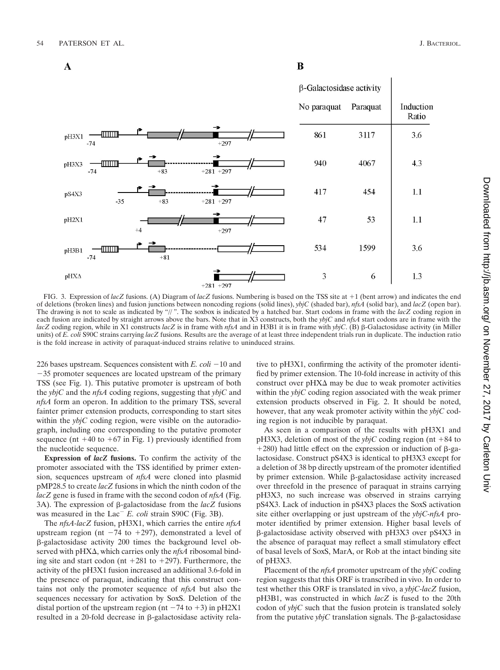$\mathbf{A}$ 



B

FIG. 3. Expression of *lacZ* fusions. (A) Diagram of *lacZ* fusions. Numbering is based on the TSS site at +1 (bent arrow) and indicates the end of deletions (broken lines) and fusion junctions between noncoding regions (solid lines), *ybjC* (shaded bar), *nfsA* (solid bar), and *lacZ* (open bar). The drawing is not to scale as indicated by "//". The soxbox is indicated by a hatched bar. Start codons in frame with the *lacZ* coding region in each fusion are indicated by straight arrows above the bars. Note that in X3 constructs, both the *ybjC* and *nfsA* start codons are in frame with the *lacZ* coding region, while in X1 constructs *lacZ* is in frame with *nfsA* and in H3B1 it is in frame with *ybjC*. (B)  $\beta$ -Galactosidase activity (in Miller units) of *E. coli* S90C strains carrying *lacZ* fusions. Results are the average of at least three independent trials run in duplicate. The induction ratio is the fold increase in activity of paraquat-induced strains relative to uninduced strains.

226 bases upstream. Sequences consistent with  $E$ .  $\text{coli} - 10$  and  $-35$  promoter sequences are located upstream of the primary TSS (see Fig. 1). This putative promoter is upstream of both the *ybjC* and the *nfsA* coding regions, suggesting that *ybjC* and *nfsA* form an operon. In addition to the primary TSS, several fainter primer extension products, corresponding to start sites within the *ybjC* coding region, were visible on the autoradiograph, including one corresponding to the putative promoter sequence (nt  $+40$  to  $+67$  in Fig. 1) previously identified from the nucleotide sequence.

**Expression of** *lacZ* **fusions.** To confirm the activity of the promoter associated with the TSS identified by primer extension, sequences upstream of *nfsA* were cloned into plasmid pMP28.5 to create *lacZ* fusions in which the ninth codon of the *lacZ* gene is fused in frame with the second codon of *nfsA* (Fig. 3A). The expression of  $\beta$ -galactosidase from the *lacZ* fusions was measured in the Lac<sup>-</sup> E. coli strain S90C (Fig. 3B).

The *nfsA-lacZ* fusion, pH3X1, which carries the entire *nfsA* upstream region (nt  $-74$  to  $+297$ ), demonstrated a level of -galactosidase activity 200 times the background level observed with  $pHX\Delta$ , which carries only the  $nfsA$  ribosomal binding site and start codon (nt  $+281$  to  $+297$ ). Furthermore, the activity of the pH3X1 fusion increased an additional 3.6-fold in the presence of paraquat, indicating that this construct contains not only the promoter sequence of *nfsA* but also the sequences necessary for activation by SoxS. Deletion of the distal portion of the upstream region (nt  $-74$  to  $+3$ ) in pH2X1 resulted in a 20-fold decrease in  $\beta$ -galactosidase activity relative to pH3X1, confirming the activity of the promoter identified by primer extension. The 10-fold increase in activity of this construct over  $pHX\Delta$  may be due to weak promoter activities within the *ybjC* coding region associated with the weak primer extension products observed in Fig. 2. It should be noted, however, that any weak promoter activity within the *ybjC* coding region is not inducible by paraquat.

As seen in a comparison of the results with pH3X1 and  $pH3X3$ , deletion of most of the *ybjC* coding region (nt +84 to  $+280$ ) had little effect on the expression or induction of  $\beta$ -galactosidase. Construct pS4X3 is identical to pH3X3 except for a deletion of 38 bp directly upstream of the promoter identified by primer extension. While  $\beta$ -galactosidase activity increased over threefold in the presence of paraquat in strains carrying pH3X3, no such increase was observed in strains carrying pS4X3. Lack of induction in pS4X3 places the SoxS activation site either overlapping or just upstream of the *ybjC-nfsA* promoter identified by primer extension. Higher basal levels of -galactosidase activity observed with pH3X3 over pS4X3 in the absence of paraquat may reflect a small stimulatory effect of basal levels of SoxS, MarA, or Rob at the intact binding site of pH3X3.

Placement of the *nfsA* promoter upstream of the *ybjC* coding region suggests that this ORF is transcribed in vivo. In order to test whether this ORF is translated in vivo, a *ybjC-lacZ* fusion, pH3B1, was constructed in which *lacZ* is fused to the 20th codon of *ybjC* such that the fusion protein is translated solely from the putative  $ybjC$  translation signals. The  $\beta$ -galactosidase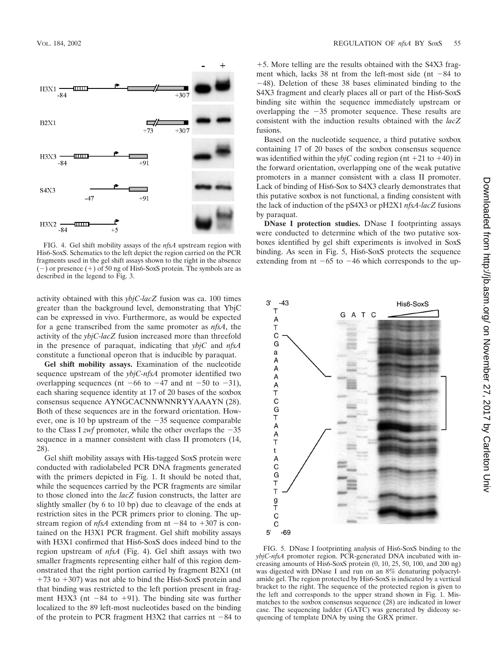

FIG. 4. Gel shift mobility assays of the *nfsA* upstream region with His6-SoxS. Schematics to the left depict the region carried on the PCR fragments used in the gel shift assays shown to the right in the absence  $(-)$  or presence  $(+)$  of 50 ng of His6-SoxS protein. The symbols are as described in the legend to Fig. 3.

activity obtained with this *ybjC-lacZ* fusion was ca. 100 times greater than the background level, demonstrating that YbjC can be expressed in vivo. Furthermore, as would be expected for a gene transcribed from the same promoter as *nfsA*, the activity of the *ybjC-lacZ* fusion increased more than threefold in the presence of paraquat, indicating that *ybjC* and *nfsA* constitute a functional operon that is inducible by paraquat.

**Gel shift mobility assays.** Examination of the nucleotide sequence upstream of the *ybjC-nfsA* promoter identified two overlapping sequences (nt  $-66$  to  $-47$  and nt  $-50$  to  $-31$ ), each sharing sequence identity at 17 of 20 bases of the soxbox consensus sequence AYNGCACNNWNNRYYAAAYN (28). Both of these sequences are in the forward orientation. However, one is 10 bp upstream of the  $-35$  sequence comparable to the Class I *zwf* promoter, while the other overlaps the  $-35$ sequence in a manner consistent with class II promoters (14, 28).

Gel shift mobility assays with His-tagged SoxS protein were conducted with radiolabeled PCR DNA fragments generated with the primers depicted in Fig. 1. It should be noted that, while the sequences carried by the PCR fragments are similar to those cloned into the *lacZ* fusion constructs, the latter are slightly smaller (by 6 to 10 bp) due to cleavage of the ends at restriction sites in the PCR primers prior to cloning. The upstream region of  $nfsA$  extending from nt  $-84$  to  $+307$  is contained on the H3X1 PCR fragment. Gel shift mobility assays with H3X1 confirmed that His6-SoxS does indeed bind to the region upstream of *nfsA* (Fig. 4). Gel shift assays with two smaller fragments representing either half of this region demonstrated that the right portion carried by fragment B2X1 (nt  $+73$  to  $+307$ ) was not able to bind the His6-SoxS protein and that binding was restricted to the left portion present in fragment H3X3 (nt  $-84$  to  $+91$ ). The binding site was further localized to the 89 left-most nucleotides based on the binding of the protein to PCR fragment H3X2 that carries nt  $-84$  to

5. More telling are the results obtained with the S4X3 fragment which, lacks 38 nt from the left-most side (nt  $-84$  to 48). Deletion of these 38 bases eliminated binding to the S4X3 fragment and clearly places all or part of the His6-SoxS binding site within the sequence immediately upstream or overlapping the  $-35$  promoter sequence. These results are consistent with the induction results obtained with the *lacZ* fusions.

Based on the nucleotide sequence, a third putative soxbox containing 17 of 20 bases of the soxbox consensus sequence was identified within the *ybjC* coding region (nt  $+21$  to  $+40$ ) in the forward orientation, overlapping one of the weak putative promoters in a manner consistent with a class II promoter. Lack of binding of His6-Sox to S4X3 clearly demonstrates that this putative soxbox is not functional, a finding consistent with the lack of induction of the pS4X3 or pH2X1 *nfsA-lacZ* fusions by paraquat.

**DNase I protection studies.** DNase I footprinting assays were conducted to determine which of the two putative soxboxes identified by gel shift experiments is involved in SoxS binding. As seen in Fig. 5, His6-SoxS protects the sequence extending from nt  $-65$  to  $-46$  which corresponds to the up-



FIG. 5. DNase I footprinting analysis of His6-SoxS binding to the *ybjC-nfsA* promoter region. PCR-generated DNA incubated with increasing amounts of His6-SoxS protein (0, 10, 25, 50, 100, and 200 ng) was digested with DNase I and run on an 8% denaturing polyacrylamide gel. The region protected by His6-SoxS is indicated by a vertical bracket to the right. The sequence of the protected region is given to the left and corresponds to the upper strand shown in Fig. 1. Mismatches to the soxbox consensus sequence (28) are indicated in lower case. The sequencing ladder (GATC) was generated by dideoxy sequencing of template DNA by using the GRX primer.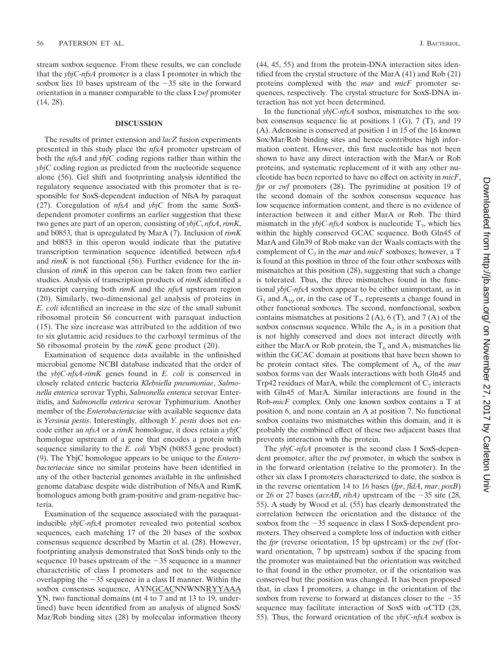stream soxbox sequence. From these results, we can conclude that the *ybjC-nfsA* promoter is a class I promoter in which the soxbox lies 10 bases upstream of the  $-35$  site in the forward orientation in a manner comparable to the class I *zwf* promoter (14, 28).

### **DISCUSSION**

The results of primer extension and *lacZ* fusion experiments presented in this study place the *nfsA* promoter upstream of both the *nfsA* and *ybjC* coding regions rather than within the *ybjC* coding region as predicted from the nucleotide sequence alone (56). Gel shift and footprinting analysis identified the regulatory sequence associated with this promoter that is responsible for SoxS-dependent induction of NfsA by paraquat (27). Coregulation of *nfsA* and *ybjC* from the same SoxSdependent promoter confirms an earlier suggestion that these two genes are part of an operon, consisting of *ybjC*, *nfsA*, *rimK*, and b0853, that is upregulated by MarA (7). Inclusion of *rimK* and b0853 in this operon would indicate that the putative transcription termination sequence identified between *nfsA* and *rimK* is not functional (56). Further evidence for the inclusion of *rimK* in this operon can be taken from two earlier studies. Analysis of transcription products of *rimK* identified a transcript carrying both *rimK* and the *nfsA* upstream region (20). Similarly, two-dimensional gel analysis of proteins in *E. coli* identified an increase in the size of the small subunit ribosomal protein S6 concurrent with paraquat induction (15). The size increase was attributed to the addition of two to six glutamic acid residues to the carboxyl terminus of the S6 ribosomal protein by the *rimK* gene product (20).

Examination of sequence data available in the unfinished microbial genome NCBI database indicated that the order of the *ybjC-nfsA-rimK* genes found in *E. coli* is conserved in closely related enteric bacteria *Klebsiella pneumoniae*, *Salmonella enterica* serovar Typhi, *Salmonella enterica* serovar Enteritidis, and *Salmonella enterica* serovar Typhimurium. Another member of the *Enterobacteriaciae* with available sequence data is *Yersinia pestis*. Interestingly, although *Y. pestis* does not encode either an *nfsA* or a *rimK* homologue, it does retain a *ybjC* homologue upstream of a gene that encodes a protein with sequence similarity to the *E. coli* YbjN (b0853 gene product) (9). The YbjC homologue appears to be unique to the *Enterobacteriaciae* since no similar proteins have been identified in any of the other bacterial genomes available in the unfinished genome database despite wide distribution of NfsA and RimK homologues among both gram-positive and gram-negative bacteria.

Examination of the sequence associated with the paraquatinducible *ybjC-nfsA* promoter revealed two potential soxbox sequences, each matching 17 of the 20 bases of the soxbox consensus sequence described by Martin et al. (28). However, footprinting analysis demonstrated that SoxS binds only to the sequence 10 bases upstream of the  $-35$  sequence in a manner characteristic of class I promoters and not to the sequence overlapping the  $-35$  sequence in a class II manner. Within the soxbox consensus sequence, AYNGCACNNWNNRYYAAA YN, two functional domains (nt 4 to 7 and nt 13 to 19, underlined) have been identified from an analysis of aligned SoxS/ Mar/Rob binding sites (28) by molecular information theory (44, 45, 55) and from the protein-DNA interaction sites identified from the crystal structure of the MarA (41) and Rob (21) proteins complexed with the *mar* and *micF* promoter sequences, respectively. The crystal structure for SoxS-DNA interaction has not yet been determined.

In the functional *ybjC-nfsA* soxbox, mismatches to the soxbox consensus sequence lie at positions 1 (G), 7 (T), and 19 (A). Adenosine is conserved at position 1 in 15 of the 16 known Sox/Mar/Rob binding sites and hence contributes high information content. However, this first nucleotide has not been shown to have any direct interaction with the MarA or Rob proteins, and systematic replacement of it with any other nucleotide has been reported to have no effect on activity in *micF*, *fpr* or *zwf* promoters (28). The pyrimidine at position 19 of the second domain of the soxbox consensus sequence has low sequence information content, and there is no evidence of interaction between it and either MarA or Rob. The third mismatch in the *ybjC-nfsA* soxbox is nucleotide  $T_7$ , which lies within the highly conserved GCAC sequence. Both Gln45 of MarA and Gln39 of Rob make van der Waals contacts with the complement of  $C_7$  in the *mar* and *micF* soxboxes; however, a T is found at this position in three of the four other soxboxes with mismatches at this position (28), suggesting that such a change is tolerated. Thus, the three mismatches found in the functional *ybjC-nfsA* soxbox appear to be either unimportant, as in  $G_1$  and  $A_{19}$  or, in the case of  $T_7$ , represents a change found in other functional soxboxes. The second, nonfunctional, soxbox contains mismatches at positions  $2(A)$ ,  $6(T)$ , and  $7(A)$  of the soxbox consensus sequence. While the  $A<sub>2</sub>$  is in a position that is not highly conserved and does not interact directly with either the MarA or Rob protein, the  $T_6$  and  $A_7$  mismatches lie within the GCAC domain at positions that have been shown to be protein contact sites. The complement of  $A_6$  of the *mar* soxbox forms van der Waals interactions with both Gln45 and Trp42 residues of MarA, while the complement of  $C_7$  interacts with Gln45 of MarA. Similar interactions are found in the Rob-*micF* complex. Only one known soxbox contains a T at position 6, and none contain an A at position 7. No functional soxbox contains two mismatches within this domain, and it is probably the combined effect of these two adjacent bases that prevents interaction with the protein.

The *ybjC-nfsA* promoter is the second class I SoxS-dependent promoter, after the *zwf* promoter, in which the soxbox is in the forward orientation (relative to the promoter). In the other six class I promoters characterized to date, the soxbox is in the reverse orientation 14 to 16 bases (*fpr*, *fldA*, *mar*, *poxB*) or 26 or 27 bases ( $acrAB$ ,  $ribA$ ) upstream of the  $-35$  site (28, 55). A study by Wood et al. (55) has clearly demonstrated the correlation between the orientation and the distance of the soxbox from the  $-35$  sequence in class I SoxS-dependent promoters. They observed a complete loss of induction with either the *fpr* (reverse orientation, 15 bp upstream) or the *zwf* (forward orientation, 7 bp upstream) soxbox if the spacing from the promoter was maintained but the orientation was switched to that found in the other promoter, or if the orientation was conserved but the position was changed. It has been proposed that, in class I promoters, a change in the orientation of the soxbox from reverse to forward at distances closer to the  $-35$ sequence may facilitate interaction of SoxS with  $\alpha$ CTD (28, 55). Thus, the forward orientation of the *ybjC-nfsA* soxbox is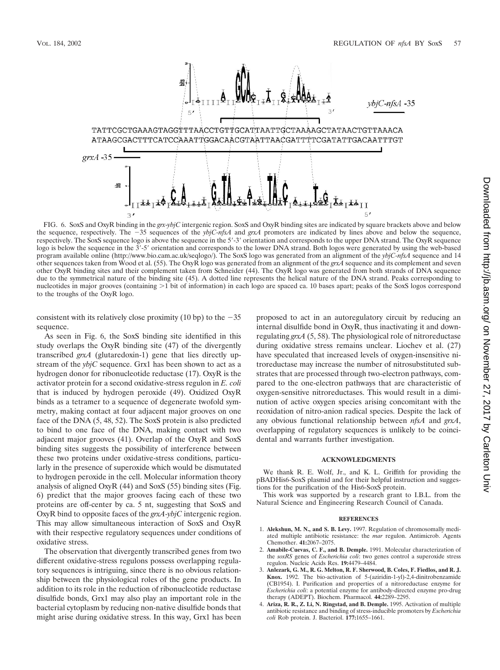

FIG. 6. SoxS and OxyR binding in the *grx*-*ybjC* intergenic region. SoxS and OxyR binding sites are indicated by square brackets above and below the sequence, respectively. The  $-35$  sequences of the *ybjC-nfsA* and *grxA* promoters are indicated by lines above and below the sequence, respectively. The SoxS sequence logo is above the sequence in the 5'-3' orientation and corresponds to the upper DNA strand. The OxyR sequence logo is below the sequence in the 3-5 orientation and corresponds to the lower DNA strand. Both logos were generated by using the web-based program available online (http://www.bio.cam.ac.uk/seqlogo/). The SoxS logo was generated from an alignment of the *ybjC-nfsA* sequence and 14 other sequences taken from Wood et al. (55). The OxyR logo was generated from an alignment of the *grxA* sequence and its complement and seven other OxyR binding sites and their complement taken from Schneider (44). The OxyR logo was generated from both strands of DNA sequence due to the symmetrical nature of the binding site (45). A dotted line represents the helical nature of the DNA strand. Peaks corresponding to nucleotides in major grooves (containing  $>1$  bit of information) in each logo are spaced ca. 10 bases apart; peaks of the SoxS logos correspond to the troughs of the OxyR logo.

consistent with its relatively close proximity (10 bp) to the  $-35$ sequence.

As seen in Fig. 6, the SoxS binding site identified in this study overlaps the OxyR binding site (47) of the divergently transcribed *grxA* (glutaredoxin-1) gene that lies directly upstream of the *ybjC* sequence. Grx1 has been shown to act as a hydrogen donor for ribonucleotide reductase (17). OxyR is the activator protein for a second oxidative-stress regulon in *E. coli* that is induced by hydrogen peroxide (49). Oxidized OxyR binds as a tetramer to a sequence of degenerate twofold symmetry, making contact at four adjacent major grooves on one face of the DNA (5, 48, 52). The SoxS protein is also predicted to bind to one face of the DNA, making contact with two adjacent major grooves (41). Overlap of the OxyR and SoxS binding sites suggests the possibility of interference between these two proteins under oxidative-stress conditions, particularly in the presence of superoxide which would be dismutated to hydrogen peroxide in the cell. Molecular information theory analysis of aligned OxyR (44) and SoxS (55) binding sites (Fig. 6) predict that the major grooves facing each of these two proteins are off-center by ca. 5 nt, suggesting that SoxS and OxyR bind to opposite faces of the *grxA-ybjC* intergenic region. This may allow simultaneous interaction of SoxS and OxyR with their respective regulatory sequences under conditions of oxidative stress.

The observation that divergently transcribed genes from two different oxidative-stress regulons possess overlapping regulatory sequences is intriguing, since there is no obvious relationship between the physiological roles of the gene products. In addition to its role in the reduction of ribonucleotide reductase disulfide bonds, Grx1 may also play an important role in the bacterial cytoplasm by reducing non-native disulfide bonds that might arise during oxidative stress. In this way, Grx1 has been proposed to act in an autoregulatory circuit by reducing an internal disulfide bond in OxyR, thus inactivating it and downregulating *grxA* (5, 58). The physiological role of nitroreductase during oxidative stress remains unclear. Liochev et al. (27) have speculated that increased levels of oxygen-insensitive nitroreductase may increase the number of nitrosubstituted substrates that are processed through two-electron pathways, compared to the one-electron pathways that are characteristic of oxygen-sensitive nitroreductases. This would result in a diminution of active oxygen species arising concomitant with the reoxidation of nitro-anion radical species. Despite the lack of any obvious functional relationship between *nfsA* and *grxA*, overlapping of regulatory sequences is unlikely to be coincidental and warrants further investigation.

### **ACKNOWLEDGMENTS**

We thank R. E. Wolf, Jr., and K. L. Griffith for providing the pBADHis6-SoxS plasmid and for their helpful instruction and suggestions for the purification of the His6-SoxS protein.

This work was supported by a research grant to I.B.L. from the Natural Science and Engineering Research Council of Canada.

#### **REFERENCES**

- 1. **Alekshun, M. N., and S. B. Levy.** 1997. Regulation of chromosomally mediated multiple antibiotic resistance: the *mar* regulon. Antimicrob. Agents Chemother. **41:**2067–2075.
- 2. **Amabile-Cuevas, C. F., and B. Demple.** 1991. Molecular characterization of the *soxRS* genes of *Escherichia coli*: two genes control a superoxide stress regulon. Nucleic Acids Res. **19:**4479–4484.
- 3. **Anlezark, G. M., R. G. Melton, R. F. Sherwood, B. Coles, F. Fiedlos, and R. J. Knox.** 1992. The bio-activation of 5-(aziridin-1-yl)-2,4-dinitrobenzamide (CB1954). I. Purification and properties of a nitroreductase enzyme for *Escherichia coli*: a potential enzyme for antibody-directed enzyme pro-drug therapy (ADEPT). Biochem. Pharmacol. **44:**2289–2295.
- 4. **Ariza, R. R., Z. Li, N. Ringstad, and B. Demple.** 1995. Activation of multiple antibiotic resistance and binding of stress-inducible promoters by *Escherichia coli* Rob protein. J. Bacteriol. **177:**1655–1661.